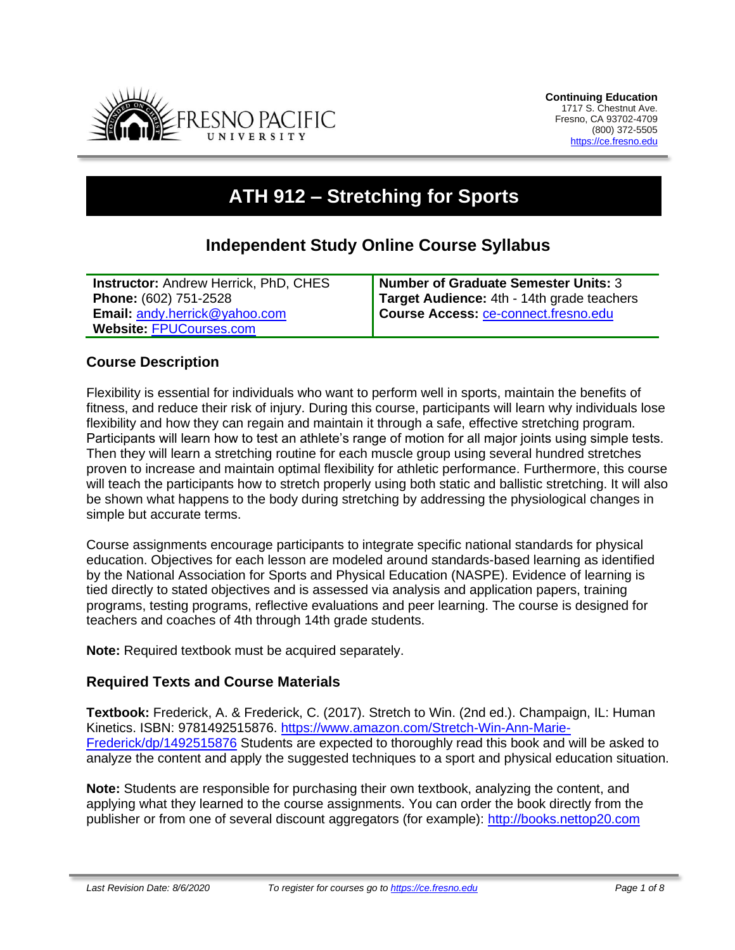

# **ATH 912 – Stretching for Sports**

# **Independent Study Online Course Syllabus**

| <b>Instructor: Andrew Herrick, PhD, CHES</b> | Number of Graduate Semester Units: 3        |
|----------------------------------------------|---------------------------------------------|
| Phone: (602) 751-2528                        | Target Audience: 4th - 14th grade teachers  |
| <b>Email: andy.herrick@yahoo.com</b>         | Course Access: <b>Ce-connect.fresno.edu</b> |
| <b>Website: FPUCourses.com</b>               |                                             |

#### **Course Description**

Flexibility is essential for individuals who want to perform well in sports, maintain the benefits of fitness, and reduce their risk of injury. During this course, participants will learn why individuals lose flexibility and how they can regain and maintain it through a safe, effective stretching program. Participants will learn how to test an athlete's range of motion for all major joints using simple tests. Then they will learn a stretching routine for each muscle group using several hundred stretches proven to increase and maintain optimal flexibility for athletic performance. Furthermore, this course will teach the participants how to stretch properly using both static and ballistic stretching. It will also be shown what happens to the body during stretching by addressing the physiological changes in simple but accurate terms.

Course assignments encourage participants to integrate specific national standards for physical education. Objectives for each lesson are modeled around standards-based learning as identified by the National Association for Sports and Physical Education (NASPE). Evidence of learning is tied directly to stated objectives and is assessed via analysis and application papers, training programs, testing programs, reflective evaluations and peer learning. The course is designed for teachers and coaches of 4th through 14th grade students.

**Note:** Required textbook must be acquired separately.

#### **Required Texts and Course Materials**

**Textbook:** Frederick, A. & Frederick, C. (2017). Stretch to Win. (2nd ed.). Champaign, IL: Human Kinetics. ISBN: 9781492515876. [https://www.amazon.com/Stretch-Win-Ann-Marie-](https://www.amazon.com/Stretch-Win-Ann-Marie-Frederick/dp/1492515876)[Frederick/dp/1492515876](https://www.amazon.com/Stretch-Win-Ann-Marie-Frederick/dp/1492515876) Students are expected to thoroughly read this book and will be asked to analyze the content and apply the suggested techniques to a sport and physical education situation.

**Note:** Students are responsible for purchasing their own textbook, analyzing the content, and applying what they learned to the course assignments. You can order the book directly from the publisher or from one of several discount aggregators (for example): [http://books.nettop20.com](http://books.nettop20.com/)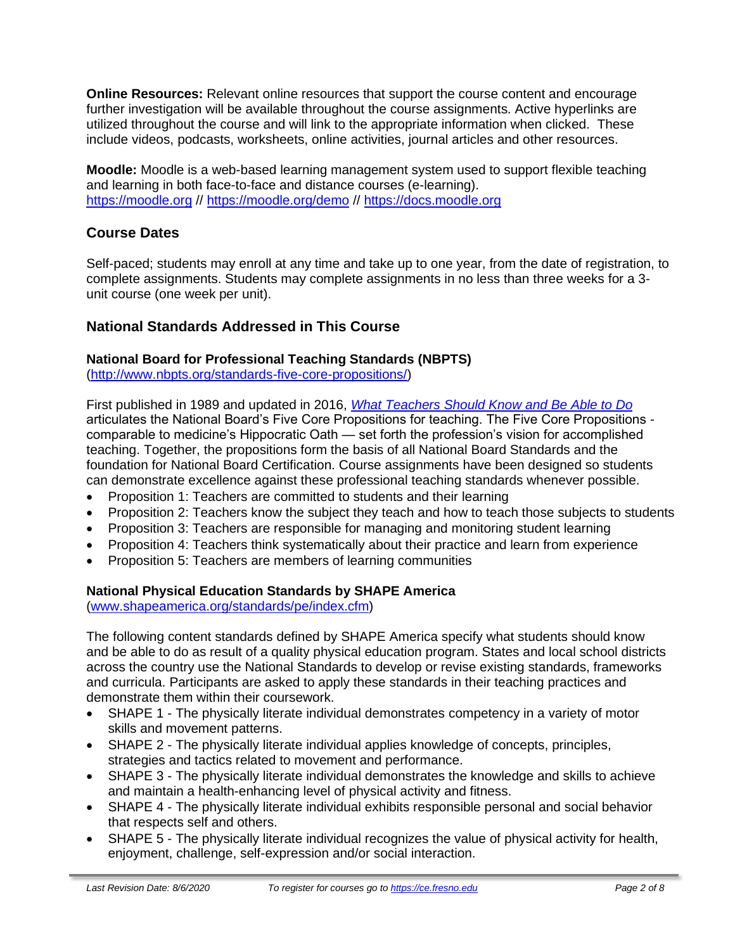**Online Resources:** Relevant online resources that support the course content and encourage further investigation will be available throughout the course assignments. Active hyperlinks are utilized throughout the course and will link to the appropriate information when clicked. These include videos, podcasts, worksheets, online activities, journal articles and other resources.

**Moodle:** Moodle is a web-based learning management system used to support flexible teaching and learning in both face-to-face and distance courses (e-learning). [https://moodle.org](https://moodle.org/) //<https://moodle.org/demo> // [https://docs.moodle.org](https://docs.moodle.org/)

# **Course Dates**

Self-paced; students may enroll at any time and take up to one year, from the date of registration, to complete assignments. Students may complete assignments in no less than three weeks for a 3 unit course (one week per unit).

# **National Standards Addressed in This Course**

#### **National Board for Professional Teaching Standards (NBPTS)**

[\(http://www.nbpts.org/standards-five-core-propositions/\)](http://www.nbpts.org/standards-five-core-propositions/)

First published in 1989 and updated in 2016, *[What Teachers Should Know and Be Able to Do](http://www.accomplishedteacher.org/)* articulates the National Board's Five Core Propositions for teaching. The Five Core Propositions comparable to medicine's Hippocratic Oath — set forth the profession's vision for accomplished teaching. Together, the propositions form the basis of all National Board Standards and the foundation for National Board Certification. Course assignments have been designed so students can demonstrate excellence against these professional teaching standards whenever possible.

- Proposition 1: Teachers are committed to students and their learning
- Proposition 2: Teachers know the subject they teach and how to teach those subjects to students
- Proposition 3: Teachers are responsible for managing and monitoring student learning
- Proposition 4: Teachers think systematically about their practice and learn from experience
- Proposition 5: Teachers are members of learning communities

# **National Physical Education Standards by SHAPE America**

[\(www.shapeamerica.org/standards/pe/index.cfm\)](http://www.shapeamerica.org/standards/pe/index.cfm)

The following content standards defined by SHAPE America specify what students should know and be able to do as result of a quality physical education program. States and local school districts across the country use the National Standards to develop or revise existing standards, frameworks and curricula. Participants are asked to apply these standards in their teaching practices and demonstrate them within their coursework.

- SHAPE 1 The physically literate individual demonstrates competency in a variety of motor skills and movement patterns.
- SHAPE 2 The physically literate individual applies knowledge of concepts, principles, strategies and tactics related to movement and performance.
- SHAPE 3 The physically literate individual demonstrates the knowledge and skills to achieve and maintain a health-enhancing level of physical activity and fitness.
- SHAPE 4 The physically literate individual exhibits responsible personal and social behavior that respects self and others.
- SHAPE 5 The physically literate individual recognizes the value of physical activity for health, enjoyment, challenge, self-expression and/or social interaction.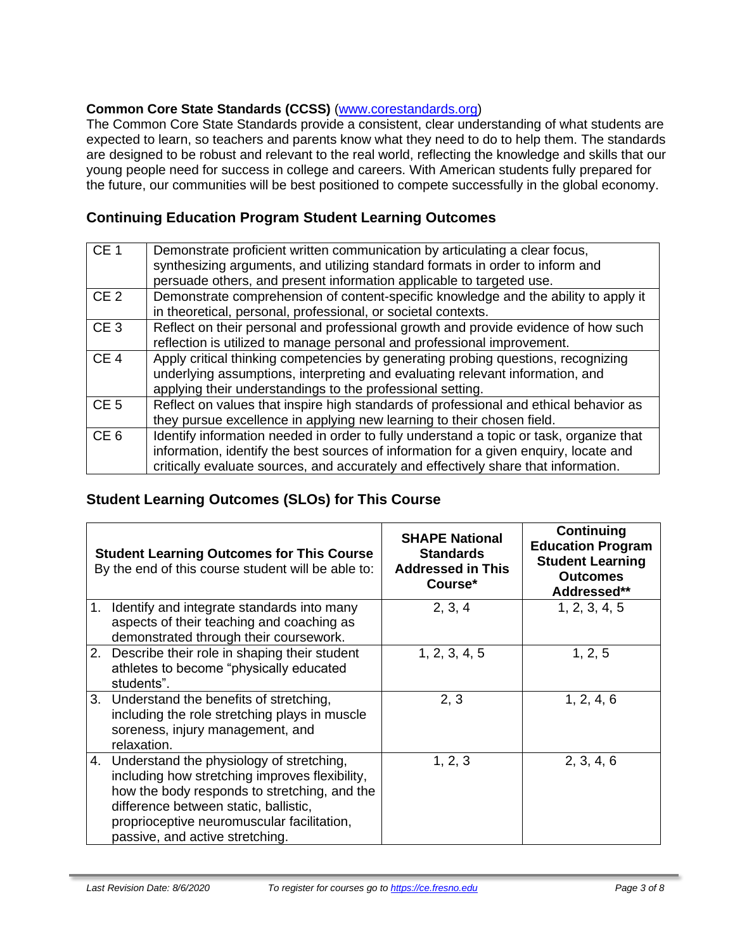#### **Common Core State Standards (CCSS)** [\(www.corestandards.org\)](http://www.corestandards.org/)

The Common Core State Standards provide a consistent, clear understanding of what students are expected to learn, so teachers and parents know what they need to do to help them. The standards are designed to be robust and relevant to the real world, reflecting the knowledge and skills that our young people need for success in college and careers. With American students fully prepared for the future, our communities will be best positioned to compete successfully in the global economy.

## **Continuing Education Program Student Learning Outcomes**

| CE <sub>1</sub> | Demonstrate proficient written communication by articulating a clear focus,<br>synthesizing arguments, and utilizing standard formats in order to inform and                                                                                                            |
|-----------------|-------------------------------------------------------------------------------------------------------------------------------------------------------------------------------------------------------------------------------------------------------------------------|
|                 | persuade others, and present information applicable to targeted use.                                                                                                                                                                                                    |
| CE <sub>2</sub> | Demonstrate comprehension of content-specific knowledge and the ability to apply it<br>in theoretical, personal, professional, or societal contexts.                                                                                                                    |
| CE <sub>3</sub> | Reflect on their personal and professional growth and provide evidence of how such<br>reflection is utilized to manage personal and professional improvement.                                                                                                           |
| CE <sub>4</sub> | Apply critical thinking competencies by generating probing questions, recognizing<br>underlying assumptions, interpreting and evaluating relevant information, and<br>applying their understandings to the professional setting.                                        |
| CE <sub>5</sub> | Reflect on values that inspire high standards of professional and ethical behavior as<br>they pursue excellence in applying new learning to their chosen field.                                                                                                         |
| CE <sub>6</sub> | Identify information needed in order to fully understand a topic or task, organize that<br>information, identify the best sources of information for a given enquiry, locate and<br>critically evaluate sources, and accurately and effectively share that information. |

# **Student Learning Outcomes (SLOs) for This Course**

|                | <b>Student Learning Outcomes for This Course</b><br>By the end of this course student will be able to:                                                                                                                                                                  | <b>SHAPE National</b><br><b>Standards</b><br><b>Addressed in This</b><br>Course* | Continuing<br><b>Education Program</b><br><b>Student Learning</b><br><b>Outcomes</b><br>Addressed** |
|----------------|-------------------------------------------------------------------------------------------------------------------------------------------------------------------------------------------------------------------------------------------------------------------------|----------------------------------------------------------------------------------|-----------------------------------------------------------------------------------------------------|
| $\mathbf{1}$ . | Identify and integrate standards into many<br>aspects of their teaching and coaching as<br>demonstrated through their coursework.                                                                                                                                       | 2, 3, 4                                                                          | 1, 2, 3, 4, 5                                                                                       |
|                | 2. Describe their role in shaping their student<br>athletes to become "physically educated<br>students".                                                                                                                                                                | 1, 2, 3, 4, 5                                                                    | 1, 2, 5                                                                                             |
| 3.             | Understand the benefits of stretching,<br>including the role stretching plays in muscle<br>soreness, injury management, and<br>relaxation.                                                                                                                              | 2, 3                                                                             | 1, 2, 4, 6                                                                                          |
|                | 4. Understand the physiology of stretching,<br>including how stretching improves flexibility,<br>how the body responds to stretching, and the<br>difference between static, ballistic,<br>proprioceptive neuromuscular facilitation,<br>passive, and active stretching. | 1, 2, 3                                                                          | 2, 3, 4, 6                                                                                          |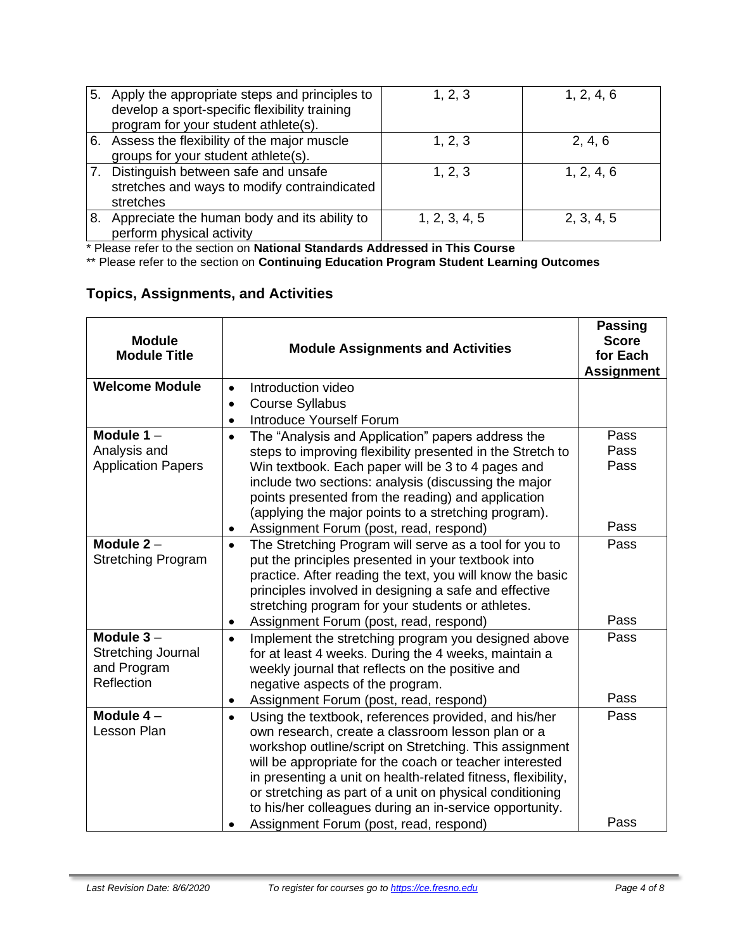| 5. | Apply the appropriate steps and principles to<br>develop a sport-specific flexibility training<br>program for your student athlete(s). | 1, 2, 3       | 1, 2, 4, 6 |
|----|----------------------------------------------------------------------------------------------------------------------------------------|---------------|------------|
|    | 6. Assess the flexibility of the major muscle<br>groups for your student athlete(s).                                                   | 1, 2, 3       | 2, 4, 6    |
|    | Distinguish between safe and unsafe<br>stretches and ways to modify contraindicated<br>stretches                                       | 1, 2, 3       | 1, 2, 4, 6 |
| 8. | Appreciate the human body and its ability to<br>perform physical activity                                                              | 1, 2, 3, 4, 5 | 2, 3, 4, 5 |

\* Please refer to the section on **National Standards Addressed in This Course**

\*\* Please refer to the section on **Continuing Education Program Student Learning Outcomes**

# **Topics, Assignments, and Activities**

| <b>Module</b><br><b>Module Title</b>                           | <b>Module Assignments and Activities</b>                                                                                                                                                                                                                                                                                                                                                                                                                                     |              |
|----------------------------------------------------------------|------------------------------------------------------------------------------------------------------------------------------------------------------------------------------------------------------------------------------------------------------------------------------------------------------------------------------------------------------------------------------------------------------------------------------------------------------------------------------|--------------|
| <b>Welcome Module</b>                                          | Introduction video<br>$\bullet$                                                                                                                                                                                                                                                                                                                                                                                                                                              |              |
|                                                                | <b>Course Syllabus</b><br>$\bullet$                                                                                                                                                                                                                                                                                                                                                                                                                                          |              |
|                                                                | <b>Introduce Yourself Forum</b><br>$\bullet$                                                                                                                                                                                                                                                                                                                                                                                                                                 |              |
| Module $1 -$                                                   | The "Analysis and Application" papers address the<br>$\bullet$                                                                                                                                                                                                                                                                                                                                                                                                               | Pass         |
| Analysis and                                                   | steps to improving flexibility presented in the Stretch to                                                                                                                                                                                                                                                                                                                                                                                                                   | Pass         |
| <b>Application Papers</b>                                      | Win textbook. Each paper will be 3 to 4 pages and<br>include two sections: analysis (discussing the major<br>points presented from the reading) and application<br>(applying the major points to a stretching program).                                                                                                                                                                                                                                                      | Pass         |
|                                                                | Assignment Forum (post, read, respond)                                                                                                                                                                                                                                                                                                                                                                                                                                       | Pass         |
| Module $2 -$<br><b>Stretching Program</b>                      | The Stretching Program will serve as a tool for you to<br>$\bullet$<br>put the principles presented in your textbook into<br>practice. After reading the text, you will know the basic<br>principles involved in designing a safe and effective<br>stretching program for your students or athletes.                                                                                                                                                                         | Pass         |
|                                                                | Assignment Forum (post, read, respond)                                                                                                                                                                                                                                                                                                                                                                                                                                       | Pass         |
| Module $3-$<br>Stretching Journal<br>and Program<br>Reflection | Implement the stretching program you designed above<br>$\bullet$<br>for at least 4 weeks. During the 4 weeks, maintain a<br>weekly journal that reflects on the positive and<br>negative aspects of the program.                                                                                                                                                                                                                                                             | Pass         |
|                                                                | Assignment Forum (post, read, respond)<br>$\bullet$                                                                                                                                                                                                                                                                                                                                                                                                                          | Pass         |
| Module $4-$<br><b>Lesson Plan</b>                              | Using the textbook, references provided, and his/her<br>$\bullet$<br>own research, create a classroom lesson plan or a<br>workshop outline/script on Stretching. This assignment<br>will be appropriate for the coach or teacher interested<br>in presenting a unit on health-related fitness, flexibility,<br>or stretching as part of a unit on physical conditioning<br>to his/her colleagues during an in-service opportunity.<br>Assignment Forum (post, read, respond) | Pass<br>Pass |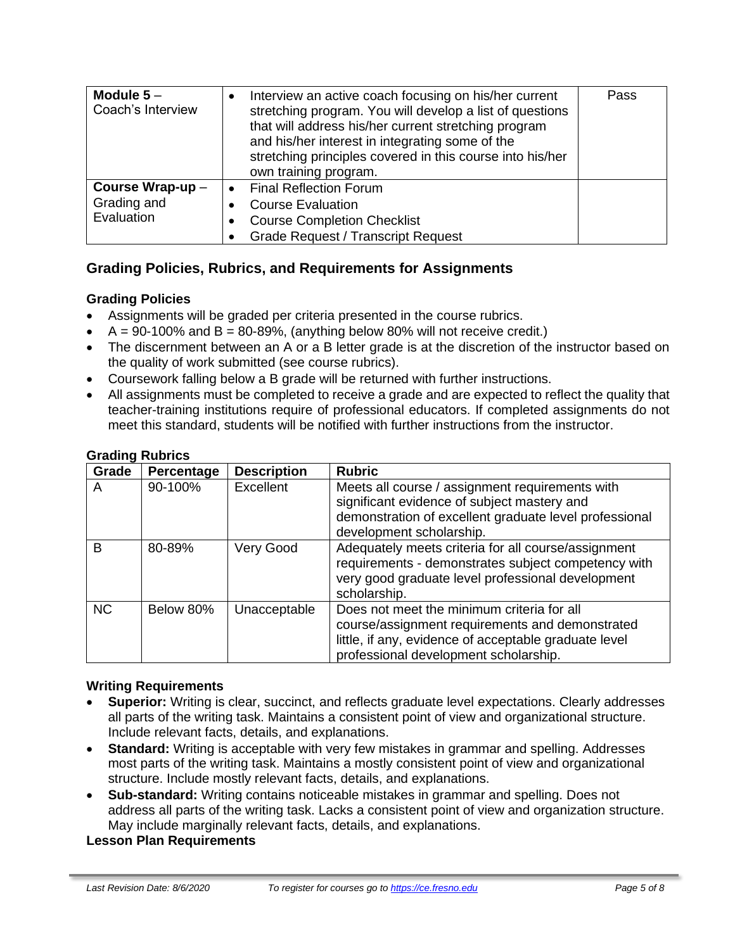| Module $5-$<br>Coach's Interview | Interview an active coach focusing on his/her current<br>stretching program. You will develop a list of questions<br>that will address his/her current stretching program<br>and his/her interest in integrating some of the<br>stretching principles covered in this course into his/her<br>own training program. | Pass |
|----------------------------------|--------------------------------------------------------------------------------------------------------------------------------------------------------------------------------------------------------------------------------------------------------------------------------------------------------------------|------|
| Course Wrap-up-                  | <b>Final Reflection Forum</b>                                                                                                                                                                                                                                                                                      |      |
| Grading and                      | <b>Course Evaluation</b>                                                                                                                                                                                                                                                                                           |      |
| Evaluation                       | <b>Course Completion Checklist</b>                                                                                                                                                                                                                                                                                 |      |
|                                  | <b>Grade Request / Transcript Request</b>                                                                                                                                                                                                                                                                          |      |

## **Grading Policies, Rubrics, and Requirements for Assignments**

#### **Grading Policies**

- Assignments will be graded per criteria presented in the course rubrics.
- $A = 90-100\%$  and  $B = 80-89\%$ , (anything below 80% will not receive credit.)
- The discernment between an A or a B letter grade is at the discretion of the instructor based on the quality of work submitted (see course rubrics).
- Coursework falling below a B grade will be returned with further instructions.
- All assignments must be completed to receive a grade and are expected to reflect the quality that teacher-training institutions require of professional educators. If completed assignments do not meet this standard, students will be notified with further instructions from the instructor.

| Grade        | Percentage | <b>Description</b> | <b>Rubric</b>                                                                                                                                                                                   |
|--------------|------------|--------------------|-------------------------------------------------------------------------------------------------------------------------------------------------------------------------------------------------|
| A            | 90-100%    | Excellent          | Meets all course / assignment requirements with<br>significant evidence of subject mastery and<br>demonstration of excellent graduate level professional<br>development scholarship.            |
| <sub>B</sub> | 80-89%     | Very Good          | Adequately meets criteria for all course/assignment<br>requirements - demonstrates subject competency with<br>very good graduate level professional development<br>scholarship.                 |
| <b>NC</b>    | Below 80%  | Unacceptable       | Does not meet the minimum criteria for all<br>course/assignment requirements and demonstrated<br>little, if any, evidence of acceptable graduate level<br>professional development scholarship. |

#### **Grading Rubrics**

#### **Writing Requirements**

- **Superior:** Writing is clear, succinct, and reflects graduate level expectations. Clearly addresses all parts of the writing task. Maintains a consistent point of view and organizational structure. Include relevant facts, details, and explanations.
- **Standard:** Writing is acceptable with very few mistakes in grammar and spelling. Addresses most parts of the writing task. Maintains a mostly consistent point of view and organizational structure. Include mostly relevant facts, details, and explanations.
- **Sub-standard:** Writing contains noticeable mistakes in grammar and spelling. Does not address all parts of the writing task. Lacks a consistent point of view and organization structure. May include marginally relevant facts, details, and explanations.

#### **Lesson Plan Requirements**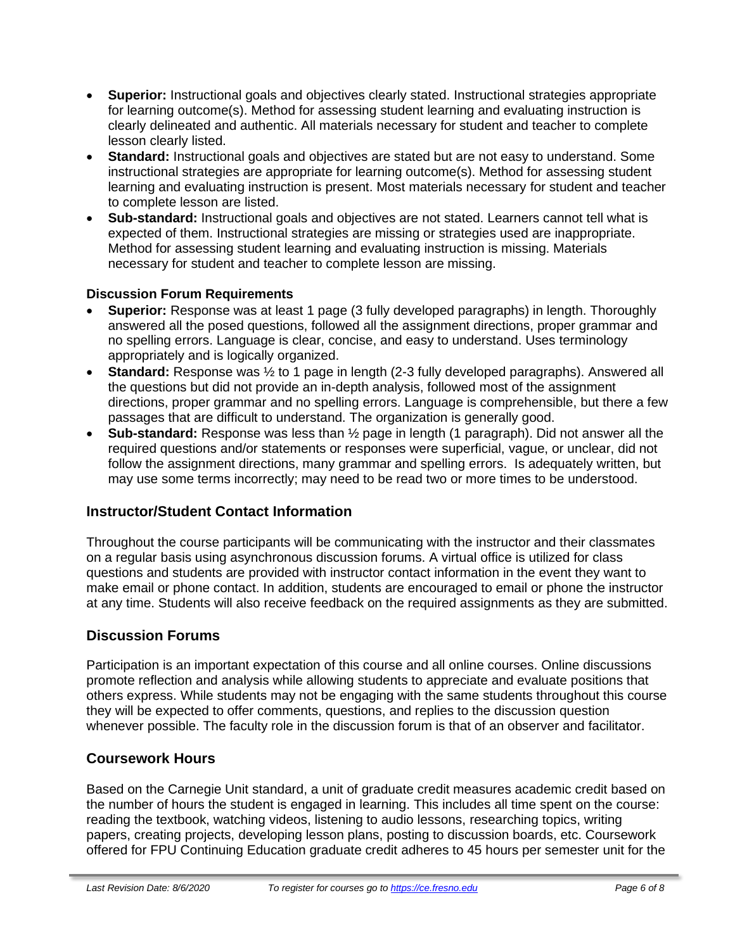- **Superior:** Instructional goals and objectives clearly stated. Instructional strategies appropriate for learning outcome(s). Method for assessing student learning and evaluating instruction is clearly delineated and authentic. All materials necessary for student and teacher to complete lesson clearly listed.
- **Standard:** Instructional goals and objectives are stated but are not easy to understand. Some instructional strategies are appropriate for learning outcome(s). Method for assessing student learning and evaluating instruction is present. Most materials necessary for student and teacher to complete lesson are listed.
- **Sub-standard:** Instructional goals and objectives are not stated. Learners cannot tell what is expected of them. Instructional strategies are missing or strategies used are inappropriate. Method for assessing student learning and evaluating instruction is missing. Materials necessary for student and teacher to complete lesson are missing.

## **Discussion Forum Requirements**

- **Superior:** Response was at least 1 page (3 fully developed paragraphs) in length. Thoroughly answered all the posed questions, followed all the assignment directions, proper grammar and no spelling errors. Language is clear, concise, and easy to understand. Uses terminology appropriately and is logically organized.
- **Standard:** Response was ½ to 1 page in length (2-3 fully developed paragraphs). Answered all the questions but did not provide an in-depth analysis, followed most of the assignment directions, proper grammar and no spelling errors. Language is comprehensible, but there a few passages that are difficult to understand. The organization is generally good.
- **Sub-standard:** Response was less than ½ page in length (1 paragraph). Did not answer all the required questions and/or statements or responses were superficial, vague, or unclear, did not follow the assignment directions, many grammar and spelling errors. Is adequately written, but may use some terms incorrectly; may need to be read two or more times to be understood.

## **Instructor/Student Contact Information**

Throughout the course participants will be communicating with the instructor and their classmates on a regular basis using asynchronous discussion forums. A virtual office is utilized for class questions and students are provided with instructor contact information in the event they want to make email or phone contact. In addition, students are encouraged to email or phone the instructor at any time. Students will also receive feedback on the required assignments as they are submitted.

## **Discussion Forums**

Participation is an important expectation of this course and all online courses. Online discussions promote reflection and analysis while allowing students to appreciate and evaluate positions that others express. While students may not be engaging with the same students throughout this course they will be expected to offer comments, questions, and replies to the discussion question whenever possible. The faculty role in the discussion forum is that of an observer and facilitator.

#### **Coursework Hours**

Based on the Carnegie Unit standard, a unit of graduate credit measures academic credit based on the number of hours the student is engaged in learning. This includes all time spent on the course: reading the textbook, watching videos, listening to audio lessons, researching topics, writing papers, creating projects, developing lesson plans, posting to discussion boards, etc. Coursework offered for FPU Continuing Education graduate credit adheres to 45 hours per semester unit for the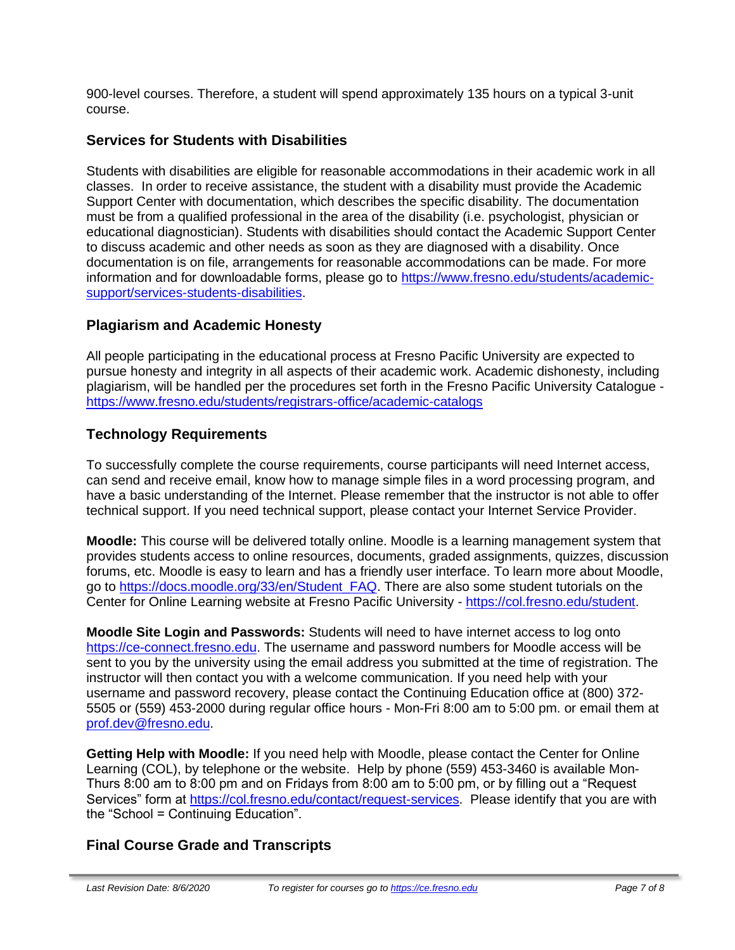900-level courses. Therefore, a student will spend approximately 135 hours on a typical 3-unit course.

# **Services for Students with Disabilities**

Students with disabilities are eligible for reasonable accommodations in their academic work in all classes. In order to receive assistance, the student with a disability must provide the Academic Support Center with documentation, which describes the specific disability. The documentation must be from a qualified professional in the area of the disability (i.e. psychologist, physician or educational diagnostician). Students with disabilities should contact the Academic Support Center to discuss academic and other needs as soon as they are diagnosed with a disability. Once documentation is on file, arrangements for reasonable accommodations can be made. For more information and for downloadable forms, please go to [https://www.fresno.edu/students/academic](https://www.fresno.edu/students/academic-support/services-students-disabilities)[support/services-students-disabilities.](https://www.fresno.edu/students/academic-support/services-students-disabilities)

## **Plagiarism and Academic Honesty**

All people participating in the educational process at Fresno Pacific University are expected to pursue honesty and integrity in all aspects of their academic work. Academic dishonesty, including plagiarism, will be handled per the procedures set forth in the Fresno Pacific University Catalogue <https://www.fresno.edu/students/registrars-office/academic-catalogs>

## **Technology Requirements**

To successfully complete the course requirements, course participants will need Internet access, can send and receive email, know how to manage simple files in a word processing program, and have a basic understanding of the Internet. Please remember that the instructor is not able to offer technical support. If you need technical support, please contact your Internet Service Provider.

**Moodle:** This course will be delivered totally online. Moodle is a learning management system that provides students access to online resources, documents, graded assignments, quizzes, discussion forums, etc. Moodle is easy to learn and has a friendly user interface. To learn more about Moodle, go to [https://docs.moodle.org/33/en/Student\\_FAQ.](https://docs.moodle.org/33/en/Student_FAQ) There are also some student tutorials on the Center for Online Learning website at Fresno Pacific University - [https://col.fresno.edu/student.](https://col.fresno.edu/student)

**Moodle Site Login and Passwords:** Students will need to have internet access to log onto [https://ce-connect.fresno.edu.](https://ce-connect.fresno.edu/) The username and password numbers for Moodle access will be sent to you by the university using the email address you submitted at the time of registration. The instructor will then contact you with a welcome communication. If you need help with your username and password recovery, please contact the Continuing Education office at (800) 372- 5505 or (559) 453-2000 during regular office hours - Mon-Fri 8:00 am to 5:00 pm. or email them at [prof.dev@fresno.edu.](mailto:prof.dev@fresno.edu)

**Getting Help with Moodle:** If you need help with Moodle, please contact the Center for Online Learning (COL), by telephone or the website. Help by phone (559) 453-3460 is available Mon-Thurs 8:00 am to 8:00 pm and on Fridays from 8:00 am to 5:00 pm, or by filling out a "Request Services" form at [https://col.fresno.edu/contact/request-services.](https://col.fresno.edu/contact/request-services) Please identify that you are with the "School = Continuing Education".

# **Final Course Grade and Transcripts**